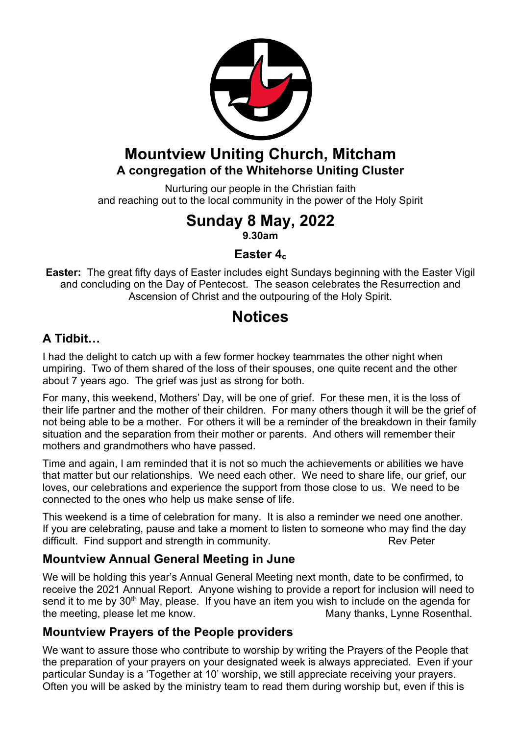

## **Mountview Uniting Church, Mitcham A congregation of the Whitehorse Uniting Cluster**

Nurturing our people in the Christian faith and reaching out to the local community in the power of the Holy Spirit

# **Sunday 8 May, 2022**

**9.30am**

#### **Easter 4c**

**Easter:** The great fifty days of Easter includes eight Sundays beginning with the Easter Vigil and concluding on the Day of Pentecost. The season celebrates the Resurrection and Ascension of Christ and the outpouring of the Holy Spirit.

## **Notices**

#### **A Tidbit…**

I had the delight to catch up with a few former hockey teammates the other night when umpiring. Two of them shared of the loss of their spouses, one quite recent and the other about 7 years ago. The grief was just as strong for both.

For many, this weekend, Mothers' Day, will be one of grief. For these men, it is the loss of their life partner and the mother of their children. For many others though it will be the grief of not being able to be a mother. For others it will be a reminder of the breakdown in their family situation and the separation from their mother or parents. And others will remember their mothers and grandmothers who have passed.

Time and again, I am reminded that it is not so much the achievements or abilities we have that matter but our relationships. We need each other. We need to share life, our grief, our loves, our celebrations and experience the support from those close to us. We need to be connected to the ones who help us make sense of life.

This weekend is a time of celebration for many. It is also a reminder we need one another. If you are celebrating, pause and take a moment to listen to someone who may find the day difficult. Find support and strength in community. The Rev Peter

### **Mountview Annual General Meeting in June**

We will be holding this year's Annual General Meeting next month, date to be confirmed, to receive the 2021 Annual Report. Anyone wishing to provide a report for inclusion will need to send it to me by 30<sup>th</sup> May, please. If you have an item you wish to include on the agenda for the meeting, please let me know. Many thanks, Lynne Rosenthal.

### **Mountview Prayers of the People providers**

We want to assure those who contribute to worship by writing the Prayers of the People that the preparation of your prayers on your designated week is always appreciated. Even if your particular Sunday is a 'Together at 10' worship, we still appreciate receiving your prayers. Often you will be asked by the ministry team to read them during worship but, even if this is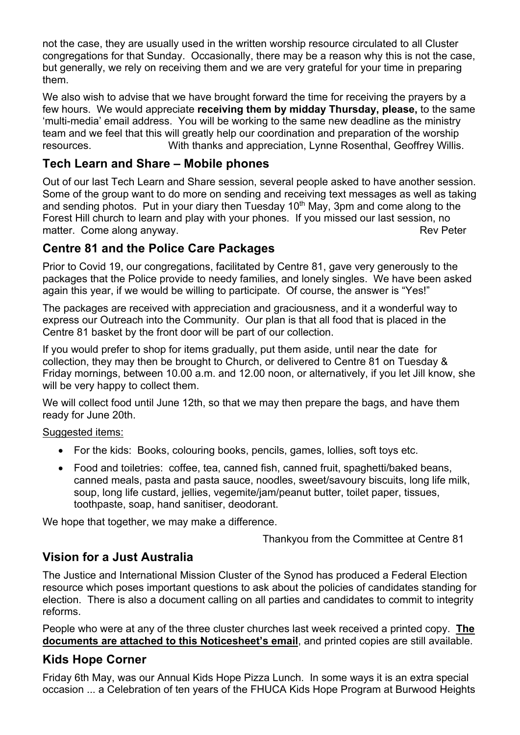not the case, they are usually used in the written worship resource circulated to all Cluster congregations for that Sunday. Occasionally, there may be a reason why this is not the case, but generally, we rely on receiving them and we are very grateful for your time in preparing them.

We also wish to advise that we have brought forward the time for receiving the prayers by a few hours. We would appreciate **receiving them by midday Thursday, please,** to the same 'multi-media' email address. You will be working to the same new deadline as the ministry team and we feel that this will greatly help our coordination and preparation of the worship resources. With thanks and appreciation, Lynne Rosenthal, Geoffrey Willis.

#### **Tech Learn and Share – Mobile phones**

Out of our last Tech Learn and Share session, several people asked to have another session. Some of the group want to do more on sending and receiving text messages as well as taking and sending photos. Put in your diary then Tuesday  $10<sup>th</sup>$  May, 3pm and come along to the Forest Hill church to learn and play with your phones. If you missed our last session, no matter. Come along anyway. The same state of the state of the state of the state of the state of the state of the state of the state of the state of the state of the state of the state of the state of the state of the stat

#### **Centre 81 and the Police Care Packages**

Prior to Covid 19, our congregations, facilitated by Centre 81, gave very generously to the packages that the Police provide to needy families, and lonely singles. We have been asked again this year, if we would be willing to participate. Of course, the answer is "Yes!"

The packages are received with appreciation and graciousness, and it a wonderful way to express our Outreach into the Community. Our plan is that all food that is placed in the Centre 81 basket by the front door will be part of our collection.

If you would prefer to shop for items gradually, put them aside, until near the date for collection, they may then be brought to Church, or delivered to Centre 81 on Tuesday & Friday mornings, between 10.00 a.m. and 12.00 noon, or alternatively, if you let Jill know, she will be very happy to collect them.

We will collect food until June 12th, so that we may then prepare the bags, and have them ready for June 20th.

#### Suggested items:

- For the kids: Books, colouring books, pencils, games, lollies, soft toys etc.
- Food and toiletries: coffee, tea, canned fish, canned fruit, spaghetti/baked beans, canned meals, pasta and pasta sauce, noodles, sweet/savoury biscuits, long life milk, soup, long life custard, jellies, vegemite/jam/peanut butter, toilet paper, tissues, toothpaste, soap, hand sanitiser, deodorant.

We hope that together, we may make a difference.

Thankyou from the Committee at Centre 81

#### **Vision for a Just Australia**

The Justice and International Mission Cluster of the Synod has produced a Federal Election resource which poses important questions to ask about the policies of candidates standing for election. There is also a document calling on all parties and candidates to commit to integrity reforms.

People who were at any of the three cluster churches last week received a printed copy. **The documents are attached to this Noticesheet's email**, and printed copies are still available.

#### **Kids Hope Corner**

Friday 6th May, was our Annual Kids Hope Pizza Lunch. In some ways it is an extra special occasion ... a Celebration of ten years of the FHUCA Kids Hope Program at Burwood Heights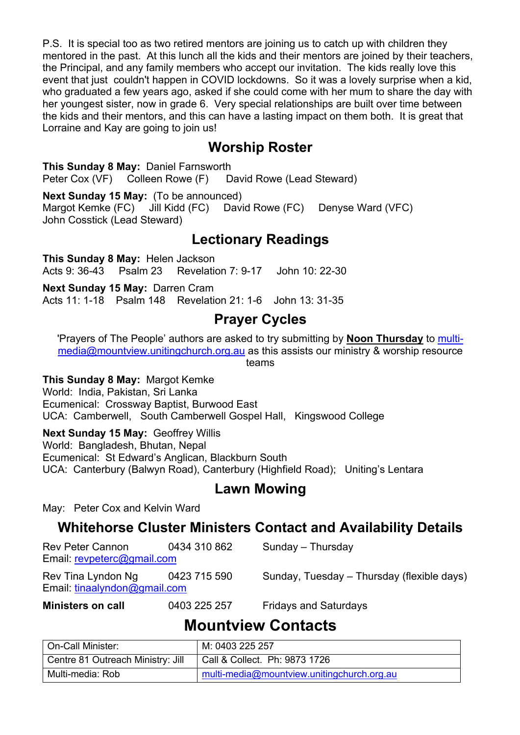P.S. It is special too as two retired mentors are joining us to catch up with children they mentored in the past. At this lunch all the kids and their mentors are joined by their teachers, the Principal, and any family members who accept our invitation. The kids really love this event that just couldn't happen in COVID lockdowns. So it was a lovely surprise when a kid, who graduated a few years ago, asked if she could come with her mum to share the day with her youngest sister, now in grade 6. Very special relationships are built over time between the kids and their mentors, and this can have a lasting impact on them both. It is great that Lorraine and Kay are going to join us!

## **Worship Roster**

**This Sunday 8 May:** Daniel Farnsworth Peter Cox (VF) Colleen Rowe (F) David Rowe (Lead Steward)

**Next Sunday 15 May:** (To be announced) Margot Kemke (FC) Jill Kidd (FC) David Rowe (FC) Denyse Ward (VFC) John Cosstick (Lead Steward)

## **Lectionary Readings**

**This Sunday 8 May:** Helen Jackson Acts 9: 36-43 Psalm 23 Revelation 7: 9-17 John 10: 22-30

**Next Sunday 15 May:** Darren Cram Acts 11: 1-18 Psalm 148 Revelation 21: 1-6 John 13: 31-35

## **Prayer Cycles**

'Prayers of The People' authors are asked to try submitting by **Noon Thursday** to multimedia@mountview.unitingchurch.org.au as this assists our ministry & worship resource teams

**This Sunday 8 May:** Margot Kemke

World: India, Pakistan, Sri Lanka Ecumenical: Crossway Baptist, Burwood East UCA: Camberwell, South Camberwell Gospel Hall, Kingswood College

**Next Sunday 15 May:** Geoffrey Willis

World: Bangladesh, Bhutan, Nepal

Ecumenical: St Edward's Anglican, Blackburn South

UCA: Canterbury (Balwyn Road), Canterbury (Highfield Road); Uniting's Lentara

## **Lawn Mowing**

May: Peter Cox and Kelvin Ward

## **Whitehorse Cluster Ministers Contact and Availability Details**

| <b>Rev Peter Cannon</b><br>Email: revpeterc@gmail.com | 0434 310 862 | Sunday - Thursday                          |
|-------------------------------------------------------|--------------|--------------------------------------------|
| Rev Tina Lyndon Ng<br>Email: tinaalyndon@gmail.com    | 0423 715 590 | Sunday, Tuesday – Thursday (flexible days) |
| <b>Ministers on call</b>                              | 0403 225 257 | <b>Fridays and Saturdays</b>               |

## **Mountview Contacts**

| On-Call Minister:                 | M: 0403 225 257                            |
|-----------------------------------|--------------------------------------------|
| Centre 81 Outreach Ministry: Jill | Call & Collect. Ph: 9873 1726              |
| Multi-media: Rob                  | multi-media@mountview.unitingchurch.org.au |